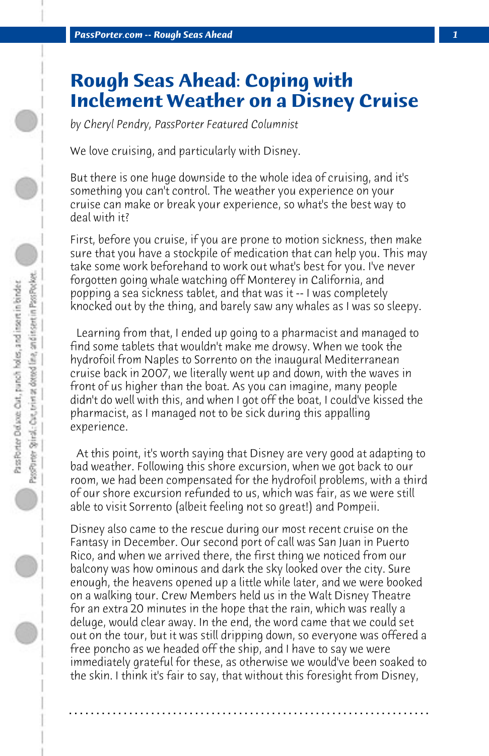## **Rough Seas Ahead: Coping with Inclement Weather on a Disney Cruise**

*by Cheryl Pendry, PassPorter Featured Columnist*

We love cruising, and particularly with Disney.

But there is one huge downside to the whole idea of cruising, and it's something you can't control. The weather you experience on your cruise can make or break your experience, so what's the best way to deal with it?

First, before you cruise, if you are prone to motion sickness, then make sure that you have a stockpile of medication that can help you. This may take some work beforehand to work out what's best for you. I've never forgotten going whale watching off Monterey in California, and popping a sea sickness tablet, and that was it -- I was completely knocked out by the thing, and barely saw any whales as I was so sleepy.

 Learning from that, I ended up going to a pharmacist and managed to find some tablets that wouldn't make me drowsy. When we took the hydrofoil from Naples to Sorrento on the inaugural Mediterranean cruise back in 2007, we literally went up and down, with the waves in front of us higher than the boat. As you can imagine, many people didn't do well with this, and when I got off the boat, I could've kissed the pharmacist, as I managed not to be sick during this appalling experience.

 At this point, it's worth saying that Disney are very good at adapting to bad weather. Following this shore excursion, when we got back to our room, we had been compensated for the hydrofoil problems, with a third of our shore excursion refunded to us, which was fair, as we were still able to visit Sorrento (albeit feeling not so great!) and Pompeii.

Disney also came to the rescue during our most recent cruise on the Fantasy in December. Our second port of call was San Juan in Puerto Rico, and when we arrived there, the first thing we noticed from our balcony was how ominous and dark the sky looked over the city. Sure enough, the heavens opened up a little while later, and we were booked on a walking tour. Crew Members held us in the Walt Disney Theatre for an extra 20 minutes in the hope that the rain, which was really a deluge, would clear away. In the end, the word came that we could set out on the tour, but it was still dripping down, so everyone was offered a free poncho as we headed off the ship, and I have to say we were immediately grateful for these, as otherwise we would've been soaked to the skin. I think it's fair to say, that without this foresight from Disney,

**. . . . . . . . . . . . . . . . . . . . . . . . . . . . . . . . . . . . . . . . . . . . . . . . . . . . . . . . . . . . . . . . . .**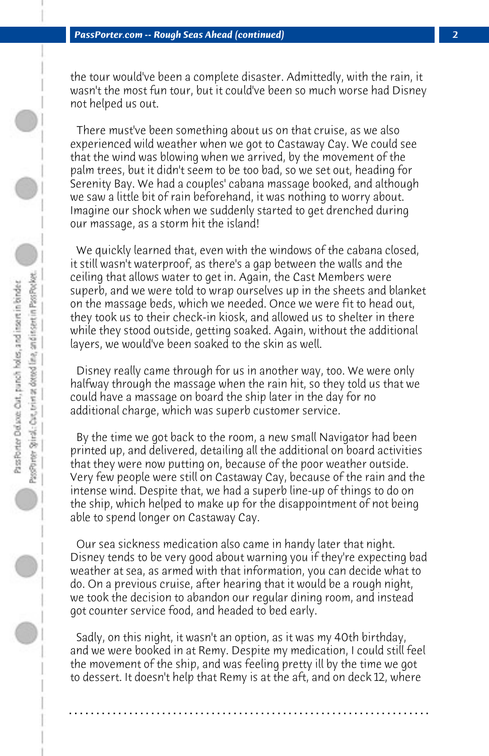the tour would've been a complete disaster. Admittedly, with the rain, it wasn't the most fun tour, but it could've been so much worse had Disney not helped us out.

 There must've been something about us on that cruise, as we also experienced wild weather when we got to Castaway Cay. We could see that the wind was blowing when we arrived, by the movement of the palm trees, but it didn't seem to be too bad, so we set out, heading for Serenity Bay. We had a couples' cabana massage booked, and although we saw a little bit of rain beforehand, it was nothing to worry about. Imagine our shock when we suddenly started to get drenched during our massage, as a storm hit the island!

 We quickly learned that, even with the windows of the cabana closed, it still wasn't waterproof, as there's a gap between the walls and the ceiling that allows water to get in. Again, the Cast Members were superb, and we were told to wrap ourselves up in the sheets and blanket on the massage beds, which we needed. Once we were fit to head out, they took us to their check-in kiosk, and allowed us to shelter in there while they stood outside, getting soaked. Again, without the additional layers, we would've been soaked to the skin as well.

 Disney really came through for us in another way, too. We were only halfway through the massage when the rain hit, so they told us that we could have a massage on board the ship later in the day for no additional charge, which was superb customer service.

 By the time we got back to the room, a new small Navigator had been printed up, and delivered, detailing all the additional on board activities that they were now putting on, because of the poor weather outside. Very few people were still on Castaway Cay, because of the rain and the intense wind. Despite that, we had a superb line-up of things to do on the ship, which helped to make up for the disappointment of not being able to spend longer on Castaway Cay.

 Our sea sickness medication also came in handy later that night. Disney tends to be very good about warning you if they're expecting bad weather at sea, as armed with that information, you can decide what to do. On a previous cruise, after hearing that it would be a rough night, we took the decision to abandon our regular dining room, and instead got counter service food, and headed to bed early.

 Sadly, on this night, it wasn't an option, as it was my 40th birthday, and we were booked in at Remy. Despite my medication, I could still feel the movement of the ship, and was feeling pretty ill by the time we got to dessert. It doesn't help that Remy is at the aft, and on deck 12, where

**. . . . . . . . . . . . . . . . . . . . . . . . . . . . . . . . . . . . . . . . . . . . . . . . . . . . . . . . . . . . . . . . . .**